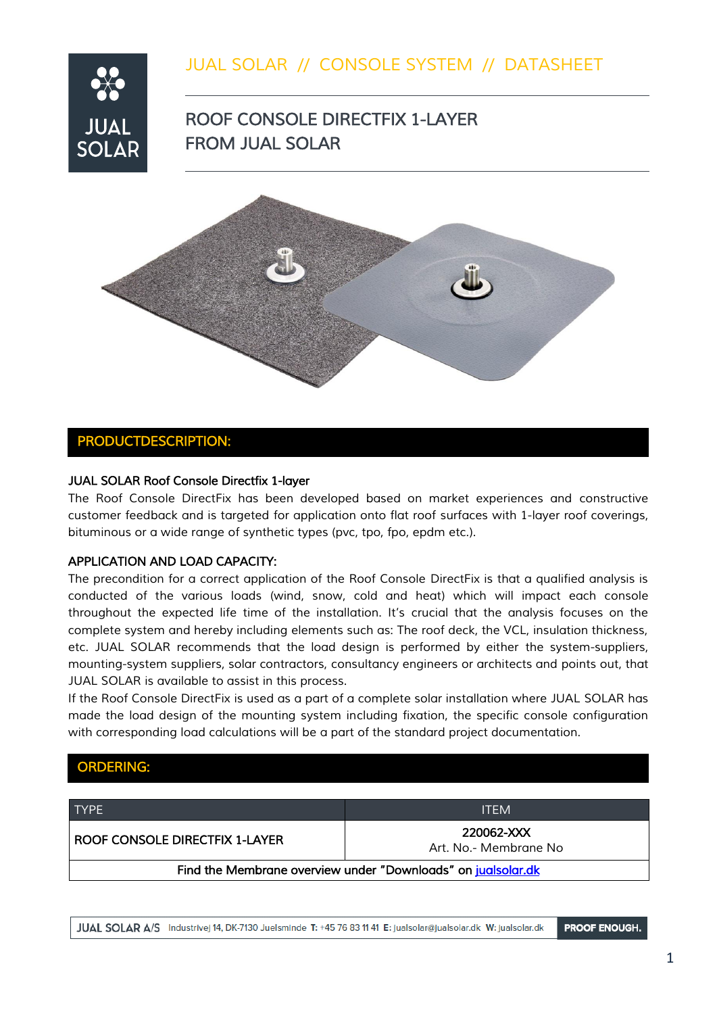# *JUAL SOLAR // CONSOLE SYSTEM // DATASHEET*



# *ROOF CONSOLE DIRECTFIX 1-LAYER FROM JUAL SOLAR*



#### *PRODUCTDESCRIPTION:*

### **JUAL SOLAR Roof Console Directfix 1-layer**

*The Roof Console DirectFix has been developed based on market experiences and constructive customer feedback and is targeted for application onto flat roof surfaces with 1-layer roof coverings, bituminous or a wide range of synthetic types (pvc, tpo, fpo, epdm etc.).* 

#### *APPLICATION AND LOAD CAPACITY:*

*The precondition for a correct application of the Roof Console DirectFix is that a qualified analysis is conducted of the various loads (wind, snow, cold and heat) which will impact each console throughout the expected life time of the installation. It's crucial that the analysis focuses on the complete system and hereby including elements such as: The roof deck, the VCL, insulation thickness, etc. JUAL SOLAR recommends that the load design is performed by either the system-suppliers, mounting-system suppliers, solar contractors, consultancy engineers or architects and points out, that JUAL SOLAR is available to assist in this process.* 

*If the Roof Console DirectFix is used as a part of a complete solar installation where JUAL SOLAR has made the load design of the mounting system including fixation, the specific console configuration with corresponding load calculations will be a part of the standard project documentation.* 

#### *ORDERING:*

| <b>TYPE</b>                                                  | <b>ITEM</b>                         |
|--------------------------------------------------------------|-------------------------------------|
| ROOF CONSOLE DIRECTFIX 1-LAYER                               | 220062-XXX<br>Art. No.- Membrane No |
| Find the Membrane overview under "Downloads" on jualsolar.dk |                                     |

**PROOF ENOUGH.** JUAL SOLAR A/S Industrivej 14, DK-7130 Juelsminde T: +45 76 83 11 41 E: jualsolar@jualsolar.dk W: jualsolar.dk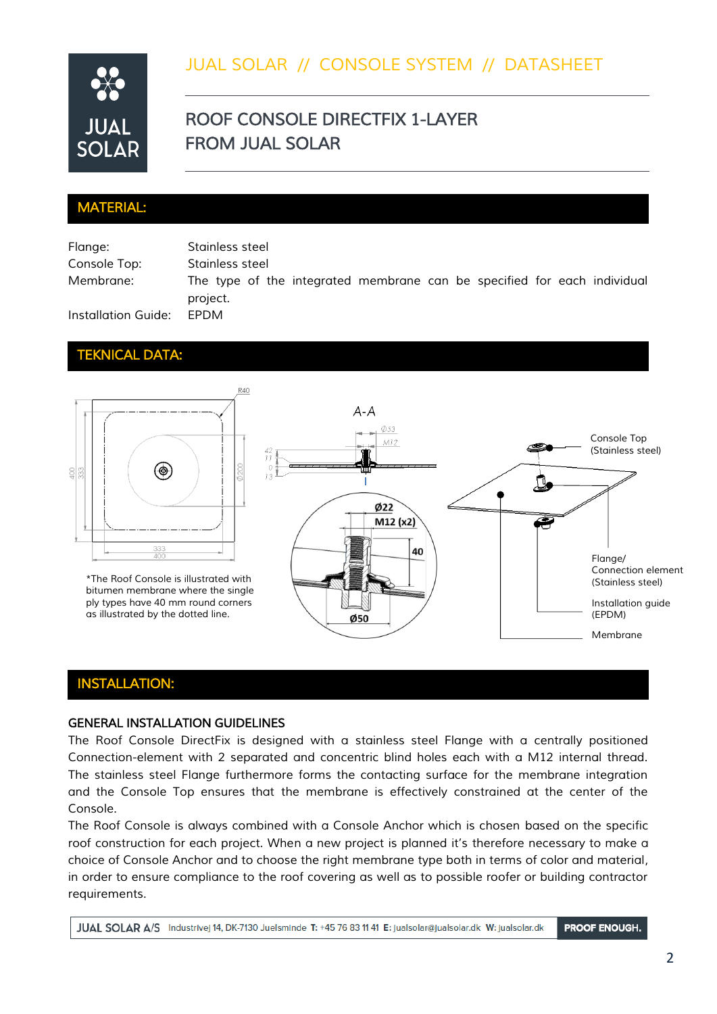

# *JUAL SOLAR // CONSOLE SYSTEM // DATASHEET*

# *ROOF CONSOLE DIRECTFIX 1-LAYER FROM JUAL SOLAR*

#### *MATERIAL:*

*Flange: Stainless steel Console Top: Stainless steel Membrane: The type of the integrated membrane can be specified for each individual project. Installation Guide: EPDM*

### *TEKNICAL DATA:*



### *INSTALLATION:*

#### *GENERAL INSTALLATION GUIDELINES*

*The Roof Console DirectFix is designed with a stainless steel Flange with a centrally positioned Connection-element with 2 separated and concentric blind holes each with a M12 internal thread. The stainless steel Flange furthermore forms the contacting surface for the membrane integration*  and the Console Top ensures that the membrane is effectively constrained at the center of the *Console.* 

*The Roof Console is always combined with a Console Anchor which is chosen based on the specific roof construction for each project. When a new project is planned it's therefore necessary to make a choice of Console Anchor and to choose the right membrane type both in terms of color and material, in order to ensure compliance to the roof covering as well as to possible roofer or building contractor requirements.* 

**PROOF ENOUGH.** JUAL SOLAR A/S Industrivej 14, DK-7130 Juelsminde T: +45 76 83 11 41 E: jualsolar@jualsolar.dk W: jualsolar.dk

2